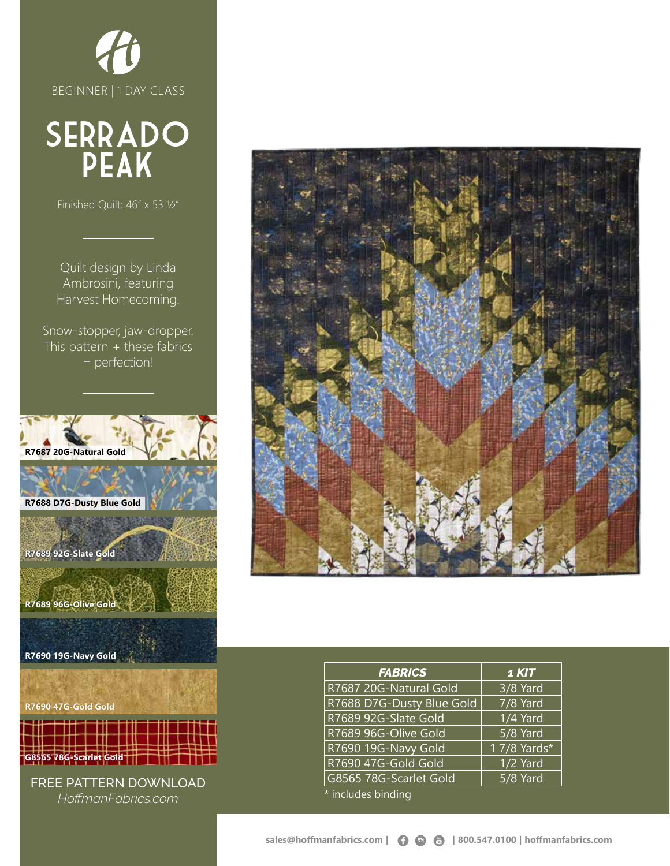

# **SERRADO** PeAk

Finished Quilt: 46" x 53 ½"

Quilt design by Linda Ambrosini, featuring Harvest Homecoming.

Snow-stopper, jaw-dropper. This pattern + these fabrics = perfection!



*HoffmanFabrics.com*



| <b>FABRICS</b>            | 1 KIT                 |  |  |
|---------------------------|-----------------------|--|--|
| R7687 20G-Natural Gold    | $\overline{3}/8$ Yard |  |  |
| R7688 D7G-Dusty Blue Gold | 7/8 Yard              |  |  |
| R7689 92G-Slate Gold      | 1/4 Yard              |  |  |
| R7689 96G-Olive Gold      | 5/8 Yard              |  |  |
| R7690 19G-Navy Gold       | 1 7/8 Yards*          |  |  |
| R7690 47G-Gold Gold       | 1/2 Yard              |  |  |
| G8565 78G-Scarlet Gold    | 5/8 Yard              |  |  |
| * includes binding        |                       |  |  |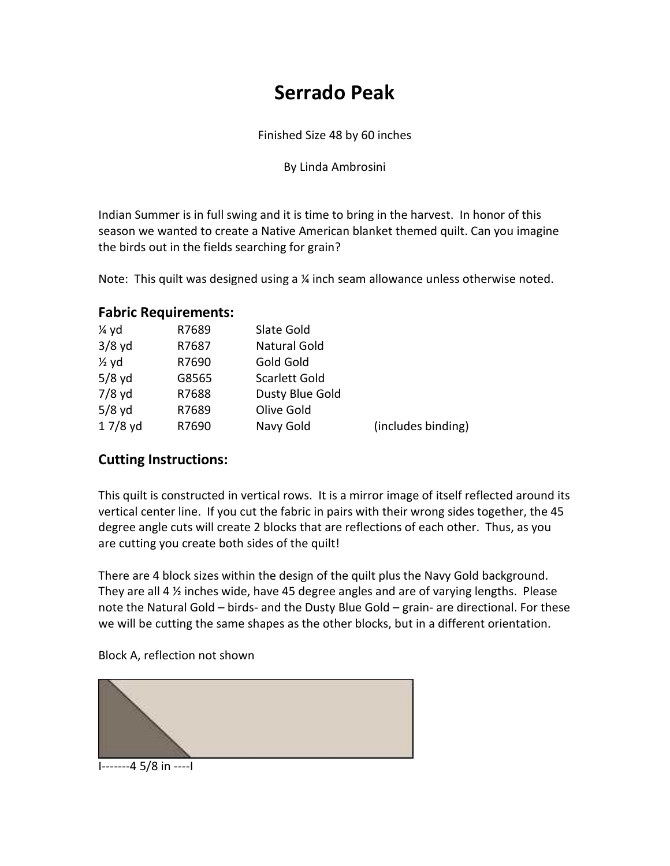## **Serrado Peak**

Finished Size 48 by 60 inches

By Linda Ambrosini

Indian Summer is in full swing and it is time to bring in the harvest. In honor of this season we wanted to create a Native American blanket themed quilt. Can you imagine the birds out in the fields searching for grain?

Note: This quilt was designed using a ¼ inch seam allowance unless otherwise noted.

#### **Fabric Requirements:**

| 1⁄4 yd           | R7689 | Slate Gold           |                    |
|------------------|-------|----------------------|--------------------|
| $3/8$ yd         | R7687 | <b>Natural Gold</b>  |                    |
| $\frac{1}{2}$ yd | R7690 | Gold Gold            |                    |
| $5/8$ yd         | G8565 | <b>Scarlett Gold</b> |                    |
| $7/8$ yd         | R7688 | Dusty Blue Gold      |                    |
| $5/8$ yd         | R7689 | Olive Gold           |                    |
| $17/8$ yd        | R7690 | Navy Gold            | (includes binding) |

#### **Cutting Instructions:**

This quilt is constructed in vertical rows. It is a mirror image of itself reflected around its vertical center line. If you cut the fabric in pairs with their wrong sides together, the 45 degree angle cuts will create 2 blocks that are reflections of each other. Thus, as you are cutting you create both sides of the quilt!

There are 4 block sizes within the design of the quilt plus the Navy Gold background. They are all 4 ½ inches wide, have 45 degree angles and are of varying lengths. Please note the Natural Gold – birds- and the Dusty Blue Gold – grain- are directional. For these we will be cutting the same shapes as the other blocks, but in a different orientation.

Block A, reflection not shown



I-------4 5/8 in ----I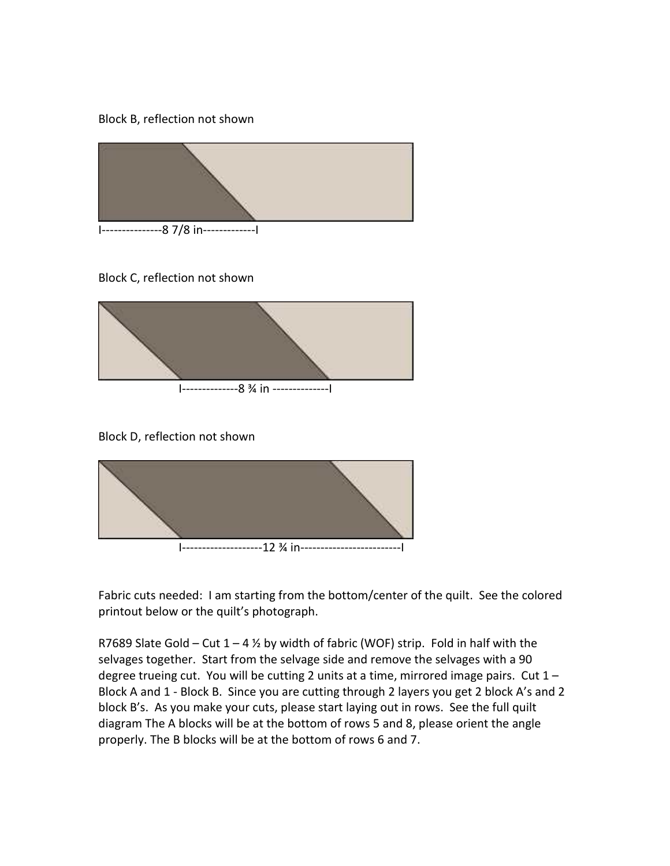#### Block B, reflection not shown



Block C, reflection not shown



Block D, reflection not shown



Fabric cuts needed: I am starting from the bottom/center of the quilt. See the colored printout below or the quilt's photograph.

R7689 Slate Gold – Cut  $1 - 4$  % by width of fabric (WOF) strip. Fold in half with the selvages together. Start from the selvage side and remove the selvages with a 90 degree trueing cut. You will be cutting 2 units at a time, mirrored image pairs. Cut 1 – Block A and 1 - Block B. Since you are cutting through 2 layers you get 2 block A's and 2 block B's. As you make your cuts, please start laying out in rows. See the full quilt diagram The A blocks will be at the bottom of rows 5 and 8, please orient the angle properly. The B blocks will be at the bottom of rows 6 and 7.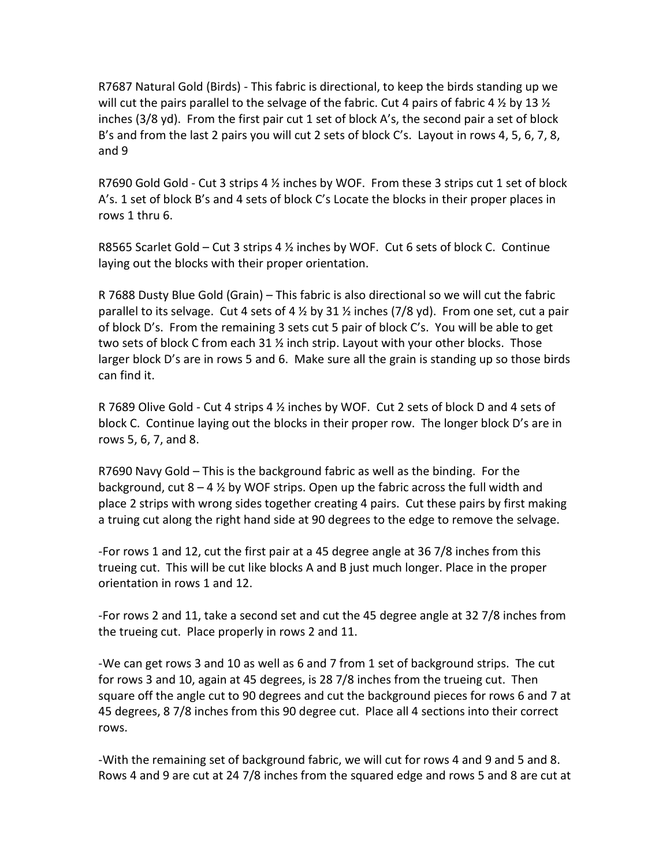R7687 Natural Gold (Birds) - This fabric is directional, to keep the birds standing up we will cut the pairs parallel to the selvage of the fabric. Cut 4 pairs of fabric 4  $\frac{1}{2}$  by 13  $\frac{1}{2}$ inches (3/8 yd). From the first pair cut 1 set of block A's, the second pair a set of block B's and from the last 2 pairs you will cut 2 sets of block C's. Layout in rows 4, 5, 6, 7, 8, and 9

R7690 Gold Gold - Cut 3 strips 4  $\frac{1}{2}$  inches by WOF. From these 3 strips cut 1 set of block A's. 1 set of block B's and 4 sets of block C's Locate the blocks in their proper places in rows 1 thru 6.

R8565 Scarlet Gold – Cut 3 strips 4  $\frac{1}{2}$  inches by WOF. Cut 6 sets of block C. Continue laying out the blocks with their proper orientation.

R 7688 Dusty Blue Gold (Grain) – This fabric is also directional so we will cut the fabric parallel to its selvage. Cut 4 sets of 4  $\frac{1}{2}$  by 31  $\frac{1}{2}$  inches (7/8 yd). From one set, cut a pair of block D's. From the remaining 3 sets cut 5 pair of block C's. You will be able to get two sets of block C from each 31  $\frac{1}{2}$  inch strip. Layout with your other blocks. Those larger block D's are in rows 5 and 6. Make sure all the grain is standing up so those birds can find it.

R 7689 Olive Gold - Cut 4 strips 4 ½ inches by WOF. Cut 2 sets of block D and 4 sets of block C. Continue laying out the blocks in their proper row. The longer block D's are in rows 5, 6, 7, and 8.

R7690 Navy Gold – This is the background fabric as well as the binding. For the background, cut  $8 - 4 \frac{1}{2}$  by WOF strips. Open up the fabric across the full width and place 2 strips with wrong sides together creating 4 pairs. Cut these pairs by first making a truing cut along the right hand side at 90 degrees to the edge to remove the selvage.

-For rows 1 and 12, cut the first pair at a 45 degree angle at 36 7/8 inches from this trueing cut. This will be cut like blocks A and B just much longer. Place in the proper orientation in rows 1 and 12.

-For rows 2 and 11, take a second set and cut the 45 degree angle at 32 7/8 inches from the trueing cut. Place properly in rows 2 and 11.

-We can get rows 3 and 10 as well as 6 and 7 from 1 set of background strips. The cut for rows 3 and 10, again at 45 degrees, is 28 7/8 inches from the trueing cut. Then square off the angle cut to 90 degrees and cut the background pieces for rows 6 and 7 at 45 degrees, 8 7/8 inches from this 90 degree cut. Place all 4 sections into their correct rows.

-With the remaining set of background fabric, we will cut for rows 4 and 9 and 5 and 8. Rows 4 and 9 are cut at 24 7/8 inches from the squared edge and rows 5 and 8 are cut at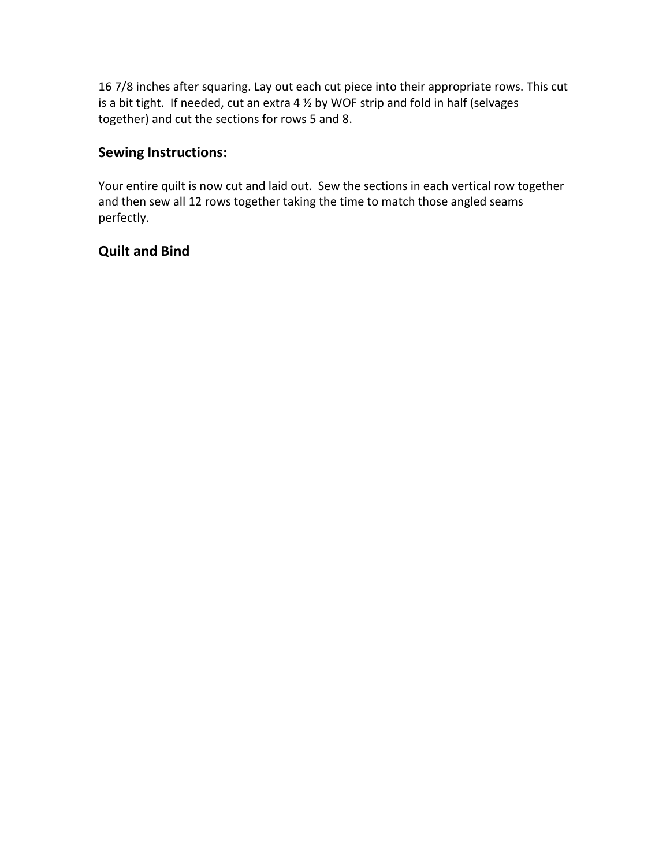16 7/8 inches after squaring. Lay out each cut piece into their appropriate rows. This cut is a bit tight. If needed, cut an extra 4  $\frac{1}{2}$  by WOF strip and fold in half (selvages together) and cut the sections for rows 5 and 8.

### **Sewing Instructions:**

Your entire quilt is now cut and laid out. Sew the sections in each vertical row together and then sew all 12 rows together taking the time to match those angled seams perfectly.

#### **Quilt and Bind**